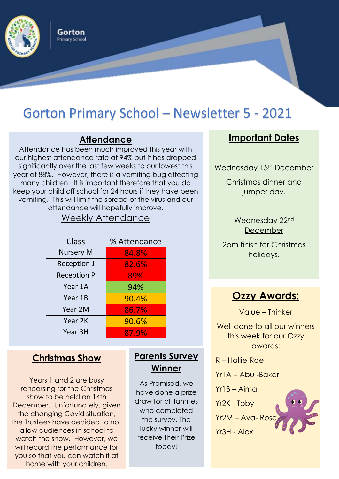

Gorton **Primary School** 

## Gorton Primary School – Newsletter 5 - 2021

#### **Attendance**

Attendance has been much improved this year with our highest attendance rate at 94% but it has dropped significantly over the last few weeks to our lowest this year at 88%. However, there is a vomiting bug affecting many children. It is important therefore that you do keep your child off school for 24 hours if they have been vomiting. This will limit the spread of the virus and our attendance will hopefully improve.

#### Weekly Attendance

| Class              | % Attendance |
|--------------------|--------------|
| <b>Nursery M</b>   | 84.8%        |
| <b>Reception J</b> | 82.6%        |
| <b>Reception P</b> | 89%          |
| Year 1A            | 94%          |
| Year 1B            | 90.4%        |
| Year 2M            | 86.7%        |
| Year 2K            | 90.6%        |
| Year 3H            | 87.9%        |

#### **Christmas Show**

Years 1 and 2 are busy rehearsing for the Christmas show to be held on 14th December. Unfortunately, given the changing Covid situation, the Trustees have decided to not allow audiences in school to watch the show. However, we will record the performance for you so that you can watch it at home with your children.

#### **Parents Survey Winner**

As Promised, we have done a prize draw for all families who completed the survey. The lucky winner will receive their Prize today!

#### **Important Dates**

Wednesday 15<sup>th</sup> December

Christmas dinner and jumper day.

> Wednesday 22nd December

2pm finish for Christmas holidays.



Value – Thinker

Well done to all our winners this week for our Ozzy awards:

R – Hallie-Rae

Yr1A – Abu -Bakar

Yr1B – Aima

Yr2K - Toby

Yr2M – Ava- Rose Yr3H - Alex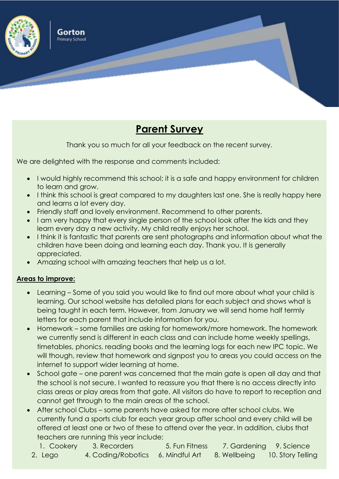

### **Parent Survey**

Thank you so much for all your feedback on the recent survey.

We are delighted with the response and comments included:

- I would highly recommend this school; it is a safe and happy environment for children to learn and grow.
- I think this school is great compared to my daughters last one. She is really happy here and learns a lot every day.
- Friendly staff and lovely environment. Recommend to other parents.
- I am very happy that every single person of the school look after the kids and they learn every day a new activity. My child really enjoys her school.
- I think it is fantastic that parents are sent photographs and information about what the children have been doing and learning each day. Thank you. It is generally appreciated.
- Amazing school with amazing teachers that help us a lot.

#### **Areas to improve:**

- Learning Some of you said you would like to find out more about what your child is learning. Our school website has detailed plans for each subject and shows what is being taught in each term. However, from January we will send home half termly letters for each parent that include information for you.
- Homework some families are asking for homework/more homework. The homework we currently send is different in each class and can include home weekly spellings, timetables, phonics, reading books and the learning logs for each new IPC topic. We will though, review that homework and signpost you to areas you could access on the internet to support wider learning at home.
- School gate one parent was concerned that the main gate is open all day and that the school is not secure. I wanted to reassure you that there is no access directly into class areas or play areas from that gate. All visitors do have to report to reception and cannot get through to the main areas of the school.
- After school Clubs some parents have asked for more after school clubs. We currently fund a sports club for each year group after school and every child will be offered at least one or two of these to attend over the year. In addition, clubs that teachers are running this year include:
	- 1. Cookery 3. Recorders 5. Fun Fitness 7. Gardening 9. Science 2. Lego 4. Coding/Robotics 6. Mindful Art 8. Wellbeing 10. Story Telling